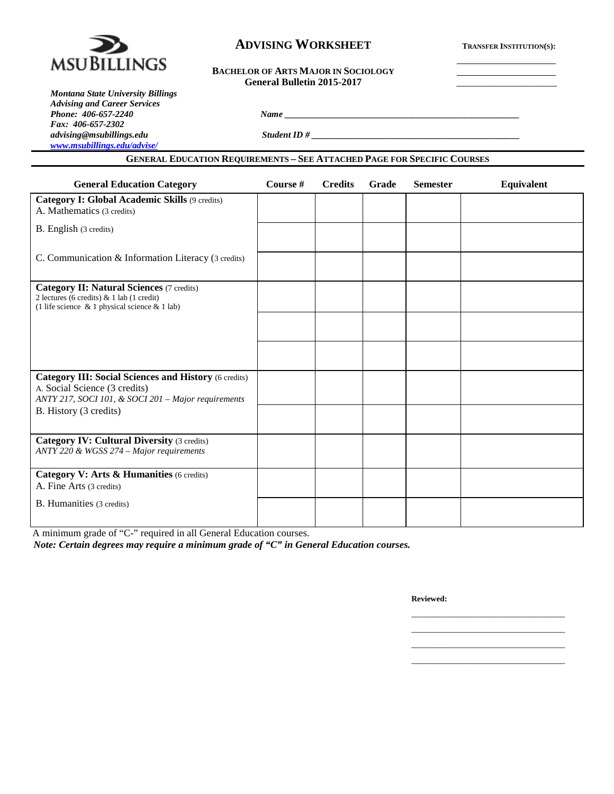

# **ADVISING WORKSHEET TRANSFER INSTITUTION(S):**

### **BACHELOR OF ARTS MAJOR IN SOCIOLOGY General Bulletin 2015-2017** \_\_\_\_\_\_\_\_\_\_\_\_\_\_\_\_\_\_\_\_

*Montana State University Billings Advising and Career Services Phone: 406-657-2240 Name \_\_\_\_\_\_\_\_\_\_\_\_\_\_\_\_\_\_\_\_\_\_\_\_\_\_\_\_\_\_\_\_\_\_\_\_\_\_\_\_\_\_\_\_\_\_\_\_\_\_\_\_ Fax: 406-657-2302 [www.msubillings.edu/advise/](http://www.msubillings.edu/advise/)*

**GENERAL EDUCATION REQUIREMENTS – SEE ATTACHED PAGE FOR SPECIFIC COURSES**

*advising@msubillings.edu Student ID # \_\_\_\_\_\_\_\_\_\_\_\_\_\_\_\_\_\_\_\_\_\_\_\_\_\_\_\_\_\_\_\_\_\_\_\_\_\_\_\_\_\_\_\_\_\_*

| <b>General Education Category</b>                                                                                                                    | Course # | <b>Credits</b> | <b>Grade</b> | <b>Semester</b> | Equivalent |
|------------------------------------------------------------------------------------------------------------------------------------------------------|----------|----------------|--------------|-----------------|------------|
| <b>Category I: Global Academic Skills (9 credits)</b><br>A. Mathematics (3 credits)                                                                  |          |                |              |                 |            |
| B. English (3 credits)                                                                                                                               |          |                |              |                 |            |
| C. Communication & Information Literacy (3 credits)                                                                                                  |          |                |              |                 |            |
| <b>Category II: Natural Sciences (7 credits)</b><br>2 lectures (6 credits) & 1 lab (1 credit)<br>(1 life science $\&$ 1 physical science $\&$ 1 lab) |          |                |              |                 |            |
|                                                                                                                                                      |          |                |              |                 |            |
|                                                                                                                                                      |          |                |              |                 |            |
| <b>Category III: Social Sciences and History (6 credits)</b><br>A. Social Science (3 credits)<br>ANTY 217, SOCI 101, & SOCI 201 - Major requirements |          |                |              |                 |            |
| B. History (3 credits)                                                                                                                               |          |                |              |                 |            |
| <b>Category IV: Cultural Diversity (3 credits)</b><br>ANTY 220 & WGSS 274 – Major requirements                                                       |          |                |              |                 |            |
| Category V: Arts & Humanities (6 credits)<br>A. Fine Arts (3 credits)                                                                                |          |                |              |                 |            |
| B. Humanities (3 credits)                                                                                                                            |          |                |              |                 |            |
|                                                                                                                                                      |          |                |              |                 |            |

A minimum grade of "C-" required in all General Education courses.

*Note: Certain degrees may require a minimum grade of "C" in General Education courses.*

**Reviewed:**

\_\_\_\_\_\_\_\_\_\_\_\_\_\_\_\_\_\_\_\_\_\_\_\_\_\_\_\_\_\_\_\_\_\_ \_\_\_\_\_\_\_\_\_\_\_\_\_\_\_\_\_\_\_\_\_\_\_\_\_\_\_\_\_\_\_\_\_\_

\_\_\_\_\_\_\_\_\_\_\_\_\_\_\_\_\_\_\_\_\_\_\_\_\_\_\_\_\_\_\_\_\_\_

\_\_\_\_\_\_\_\_\_\_\_\_\_\_\_\_\_\_\_\_\_\_\_\_\_\_\_\_\_\_\_\_\_\_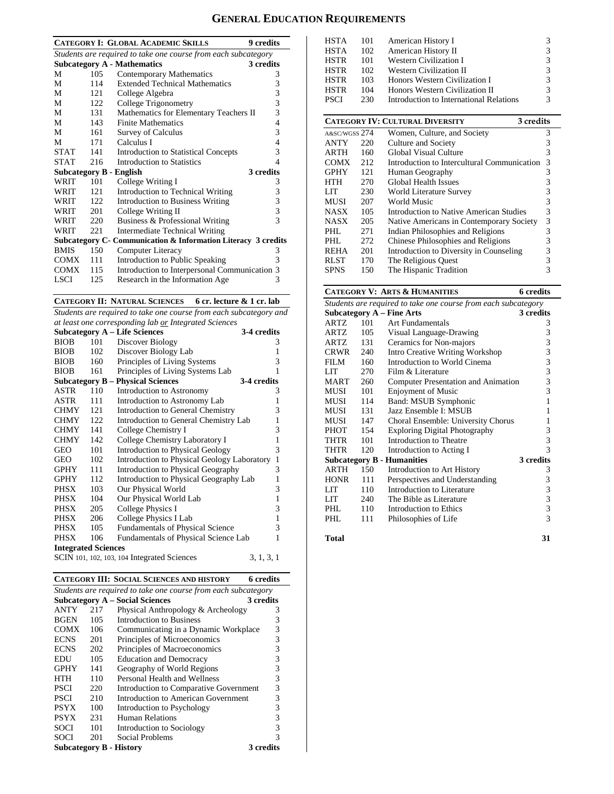# **GENERAL EDUCATION REQUIREMENTS**

| 9 credits<br><b>CATEGORY I: GLOBAL ACADEMIC SKILLS</b>         |                                                 |                                                               |   |  |  |  |  |
|----------------------------------------------------------------|-------------------------------------------------|---------------------------------------------------------------|---|--|--|--|--|
| Students are required to take one course from each subcategory |                                                 |                                                               |   |  |  |  |  |
|                                                                | <b>Subcategory A - Mathematics</b><br>3 credits |                                                               |   |  |  |  |  |
| М                                                              | 105                                             | Contemporary Mathematics                                      | 3 |  |  |  |  |
| М                                                              | 114                                             | <b>Extended Technical Mathematics</b>                         | 3 |  |  |  |  |
| М                                                              | 121                                             | College Algebra                                               | 3 |  |  |  |  |
| М                                                              | 122                                             | College Trigonometry                                          | 3 |  |  |  |  |
| М                                                              | 131                                             | Mathematics for Elementary Teachers II                        | 3 |  |  |  |  |
| М                                                              | 143                                             | <b>Finite Mathematics</b>                                     | 4 |  |  |  |  |
| М                                                              | 161                                             | Survey of Calculus                                            | 3 |  |  |  |  |
| М                                                              | 171                                             | Calculus I                                                    | 4 |  |  |  |  |
| <b>STAT</b>                                                    | 141                                             | Introduction to Statistical Concepts                          | 3 |  |  |  |  |
| <b>STAT</b>                                                    | 216                                             | Introduction to Statistics                                    | 4 |  |  |  |  |
| <b>Subcategory B - English</b>                                 |                                                 | 3 credits                                                     |   |  |  |  |  |
| WRIT                                                           | 101                                             | College Writing I                                             | 3 |  |  |  |  |
| WRIT                                                           | 121                                             | Introduction to Technical Writing                             | 3 |  |  |  |  |
| WRIT                                                           | 122                                             | <b>Introduction to Business Writing</b>                       | 3 |  |  |  |  |
| WRIT                                                           | 201                                             | College Writing II                                            | 3 |  |  |  |  |
| WRIT                                                           | 220                                             | Business & Professional Writing                               | 3 |  |  |  |  |
| WRIT                                                           | 221                                             | <b>Intermediate Technical Writing</b>                         |   |  |  |  |  |
|                                                                |                                                 | Subcategory C- Communication & Information Literacy 3 credits |   |  |  |  |  |
| <b>BMIS</b>                                                    | 150                                             | Computer Literacy                                             | 3 |  |  |  |  |
| COMX                                                           | 111                                             | Introduction to Public Speaking                               | 3 |  |  |  |  |
| <b>COMX</b>                                                    | 115                                             | Introduction to Interpersonal Communication                   | 3 |  |  |  |  |
| LSCI.                                                          | 125                                             | Research in the Information Age                               | 3 |  |  |  |  |

#### **CATEGORY II: NATURAL SCIENCES 6 cr. lecture & 1 cr. lab**

*Students are required to take one course from each subcategory and at least one corresponding lab or Integrated Sciences*

|                            |     | <b>Subcategory A – Life Sciences</b>        | 3-4 credits  |
|----------------------------|-----|---------------------------------------------|--------------|
| <b>BIOB</b>                | 101 | Discover Biology                            | 3            |
| <b>BIOB</b>                | 102 | Discover Biology Lab                        | 1            |
| <b>BIOB</b>                | 160 | Principles of Living Systems                | 3            |
| <b>BIOB</b>                | 161 | Principles of Living Systems Lab            | 1            |
|                            |     | <b>Subcategory B – Physical Sciences</b>    | 3-4 credits  |
| ASTR                       | 110 | Introduction to Astronomy                   | 3            |
| ASTR                       | 111 | Introduction to Astronomy Lab               | 1            |
| <b>CHMY</b>                | 121 | Introduction to General Chemistry           | 3            |
| <b>CHMY</b>                | 122 | Introduction to General Chemistry Lab       | 1            |
| <b>CHMY</b>                | 141 | College Chemistry I                         | 3            |
| <b>CHMY</b>                | 142 | College Chemistry Laboratory I              | $\mathbf{1}$ |
| GEO                        | 101 | <b>Introduction to Physical Geology</b>     | 3            |
| GEO                        | 102 | Introduction to Physical Geology Laboratory | $\mathbf{1}$ |
| GPHY                       | 111 | Introduction to Physical Geography          | 3            |
| <b>GPHY</b>                | 112 | Introduction to Physical Geography Lab      | 1            |
| PHSX                       | 103 | Our Physical World                          | 3            |
| PHSX                       | 104 | Our Physical World Lab                      | 1            |
| PHSX                       | 205 | College Physics I                           | 3            |
| PHSX                       | 206 | College Physics I Lab                       | $\mathbf{1}$ |
| PHSX                       | 105 | <b>Fundamentals of Physical Science</b>     | 3            |
| PHSX                       | 106 | Fundamentals of Physical Science Lab        | 1            |
| <b>Integrated Sciences</b> |     |                                             |              |
|                            |     | SCIN 101, 102, 103, 104 Integrated Sciences | 3, 1, 3, 1   |

|                                                                |     | <b>CATEGORY III: SOCIAL SCIENCES AND HISTORY</b> | <b>6</b> credits |  |  |  |
|----------------------------------------------------------------|-----|--------------------------------------------------|------------------|--|--|--|
| Students are required to take one course from each subcategory |     |                                                  |                  |  |  |  |
|                                                                |     | <b>Subcategory A – Social Sciences</b>           | 3 credits        |  |  |  |
| ANTY                                                           | 217 | Physical Anthropology & Archeology               | 3                |  |  |  |
| <b>BGEN</b>                                                    | 105 | Introduction to Business                         | 3                |  |  |  |
| <b>COMX</b>                                                    | 106 | Communicating in a Dynamic Workplace             | 3                |  |  |  |
| <b>ECNS</b>                                                    | 201 | Principles of Microeconomics                     | 3                |  |  |  |
| <b>ECNS</b>                                                    | 202 | Principles of Macroeconomics                     | 3                |  |  |  |
| EDU                                                            | 105 | <b>Education and Democracy</b>                   | 3                |  |  |  |
| <b>GPHY</b>                                                    | 141 | Geography of World Regions                       | 3                |  |  |  |
| HTH                                                            | 110 | Personal Health and Wellness                     | 3                |  |  |  |
| <b>PSCI</b>                                                    | 220 | Introduction to Comparative Government           | 3                |  |  |  |
| <b>PSCI</b>                                                    | 210 | Introduction to American Government              | 3                |  |  |  |
| <b>PSYX</b>                                                    | 100 | Introduction to Psychology                       | 3                |  |  |  |
| <b>PSYX</b>                                                    | 231 | Human Relations                                  | 3                |  |  |  |
| <b>SOCI</b>                                                    | 101 | Introduction to Sociology                        | 3                |  |  |  |
| SOCI                                                           | 201 | Social Problems                                  | 3                |  |  |  |
|                                                                |     | <b>Subcategory B - History</b>                   | 3 credits        |  |  |  |

| <b>HSTA</b>   | 101 | American History I                                  | 3 |  |  |
|---------------|-----|-----------------------------------------------------|---|--|--|
| <b>HSTA</b>   | 102 | American History II                                 | 3 |  |  |
| <b>HSTR</b>   | 101 | Western Civilization I                              | 3 |  |  |
| HSTR          | 102 | <b>Western Civilization II</b>                      | 3 |  |  |
| <b>HSTR</b>   | 103 | Honors Western Civilization I                       | 3 |  |  |
| <b>HSTR</b>   | 104 | Honors Western Civilization II                      |   |  |  |
| <b>PSCI</b>   | 230 | Introduction to International Relations             |   |  |  |
|               |     |                                                     |   |  |  |
|               |     | <b>CATEGORY IV: CULTURAL DIVERSITY</b><br>3 credits |   |  |  |
| A&SC/WGSS 274 |     | Women, Culture, and Society                         | 3 |  |  |
| ANTY          | 220 | Culture and Society                                 | 3 |  |  |
| ARTH          | 160 | Global Visual Culture                               | 3 |  |  |
| COMX -        | 212 | Introduction to Intercultural Communication         | 3 |  |  |
| <b>GPHY</b>   | 121 | Human Geography                                     | 3 |  |  |
| <b>HTH</b>    | 270 | Global Health Issues                                | 3 |  |  |
| LIT           |     |                                                     | 3 |  |  |
|               | 230 | World Literature Survey                             |   |  |  |
| MUSI          | 207 | World Music                                         | 3 |  |  |
| NASX          | 105 | Introduction to Native American Studies             | 3 |  |  |
| NASX          | 205 | Native Americans in Contemporary Society            | 3 |  |  |
| PHL           | 271 | Indian Philosophies and Religions                   | 3 |  |  |

REHA 201 Introduction to Diversity in Counseling 3 RLST 170 The Religious Quest 3<br>SPNS 150 The Hispanic Tradition 3 The Hispanic Tradition

#### **CATEGORY V: ARTS & HUMANITIES 6 credits**

| Students are required to take one course from each subcategory |     |                                      |                         |  |  |  |  |
|----------------------------------------------------------------|-----|--------------------------------------|-------------------------|--|--|--|--|
|                                                                |     | <b>Subcategory A – Fine Arts</b>     | 3 credits               |  |  |  |  |
| <b>ARTZ</b>                                                    | 101 | Art Fundamentals                     | 3                       |  |  |  |  |
| ARTZ                                                           | 105 | Visual Language-Drawing              | 3                       |  |  |  |  |
| ARTZ                                                           | 131 | Ceramics for Non-majors              | 3                       |  |  |  |  |
| CRWR                                                           | 240 | Intro Creative Writing Workshop      | 3                       |  |  |  |  |
| FILM                                                           | 160 | Introduction to World Cinema         | 3                       |  |  |  |  |
| LIT                                                            | 270 | Film & Literature                    | $\overline{\mathbf{3}}$ |  |  |  |  |
| <b>MART</b>                                                    | 260 | Computer Presentation and Animation  | $\overline{\mathbf{3}}$ |  |  |  |  |
| MUSI                                                           | 101 | <b>Enjoyment of Music</b>            | 3                       |  |  |  |  |
| MUSI                                                           | 114 | Band: MSUB Symphonic                 | 1                       |  |  |  |  |
| MUSI                                                           | 131 | Jazz Ensemble I: MSUB                | 1                       |  |  |  |  |
| MUSI                                                           | 147 | Choral Ensemble: University Chorus   | 1                       |  |  |  |  |
| PHOT                                                           | 154 | <b>Exploring Digital Photography</b> | 3                       |  |  |  |  |
| THTR                                                           | 101 | Introduction to Theatre              | 3                       |  |  |  |  |
| THTR                                                           | 120 | Introduction to Acting I             | 3                       |  |  |  |  |
|                                                                |     | <b>Subcategory B - Humanities</b>    | 3 credits               |  |  |  |  |
| ARTH                                                           | 150 | Introduction to Art History          | 3                       |  |  |  |  |
| <b>HONR</b>                                                    | 111 | Perspectives and Understanding       | 3                       |  |  |  |  |
| LIT                                                            | 110 | Introduction to Literature           | $\overline{\mathbf{3}}$ |  |  |  |  |
| LIT.                                                           | 240 | The Bible as Literature              | $\overline{3}$          |  |  |  |  |
| PHL                                                            | 110 | Introduction to Ethics               | 3                       |  |  |  |  |
| PHL                                                            | 111 | Philosophies of Life                 | 3                       |  |  |  |  |
|                                                                |     |                                      |                         |  |  |  |  |

**Total 31**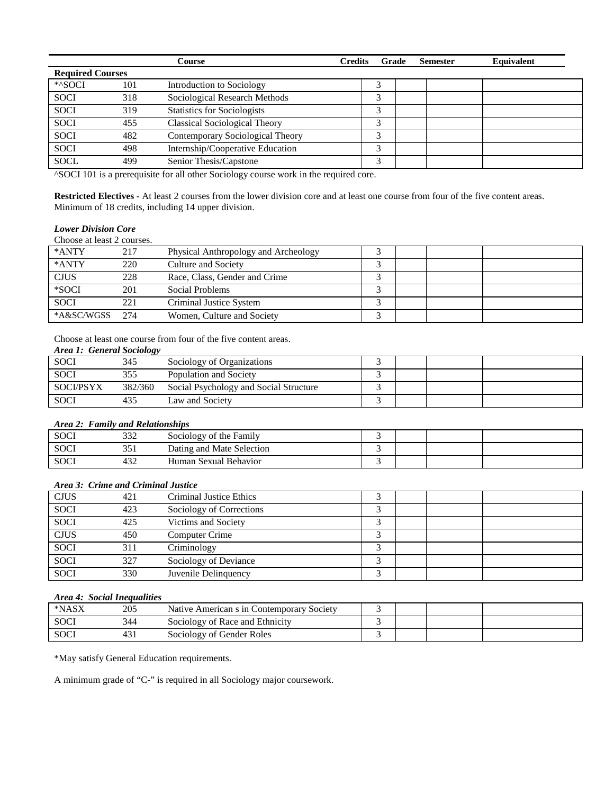|                         |     | Course                               | <b>Credits</b> | Grade | <b>Semester</b> | Equivalent |
|-------------------------|-----|--------------------------------------|----------------|-------|-----------------|------------|
| <b>Required Courses</b> |     |                                      |                |       |                 |            |
| *^SOCI                  | 101 | Introduction to Sociology            | ۵              |       |                 |            |
| <b>SOCI</b>             | 318 | Sociological Research Methods        | 3              |       |                 |            |
| <b>SOCI</b>             | 319 | <b>Statistics for Sociologists</b>   | 3              |       |                 |            |
| <b>SOCI</b>             | 455 | <b>Classical Sociological Theory</b> | 2              |       |                 |            |
| <b>SOCI</b>             | 482 | Contemporary Sociological Theory     |                |       |                 |            |
| <b>SOCI</b>             | 498 | Internship/Cooperative Education     | 3              |       |                 |            |
| <b>SOCL</b>             | 499 | Senior Thesis/Capstone               | ╭              |       |                 |            |

^SOCI 101 is a prerequisite for all other Sociology course work in the required core.

**Restricted Electives** - At least 2 courses from the lower division core and at least one course from four of the five content areas. Minimum of 18 credits, including 14 upper division.

# *Lower Division Core*

Choose at least 2 courses.

| *ANTY       | 217  | Physical Anthropology and Archeology |  |  |
|-------------|------|--------------------------------------|--|--|
| *ANTY       | 220  | Culture and Society                  |  |  |
| <b>CJUS</b> | 228  | Race, Class, Gender and Crime        |  |  |
| *SOCI       | 201  | Social Problems                      |  |  |
| <b>SOCI</b> | 221  | Criminal Justice System              |  |  |
| *A&SC/WGSS  | 2.74 | Women, Culture and Society           |  |  |

Choose at least one course from four of the five content areas.

## *Area 1: General Sociology*

|                  | ັ       |                                        |  |  |
|------------------|---------|----------------------------------------|--|--|
| <b>SOCI</b>      | 345     | Sociology of Organizations             |  |  |
| <b>SOCI</b>      |         | Population and Society                 |  |  |
| <b>SOCI/PSYX</b> | 382/360 | Social Psychology and Social Structure |  |  |
| <b>SOCI</b>      |         | Law and Society                        |  |  |

#### *Area 2: Family and Relationships*

| <b>SOCI</b> | 222<br>33 L   | Sociology of the Family   |  |  |
|-------------|---------------|---------------------------|--|--|
| <b>SOCI</b> | 351           | Dating and Mate Selection |  |  |
| <b>SOCI</b> | $\sim$<br>432 | Human Sexual Behavior     |  |  |

# *Area 3: Crime and Criminal Justice*

| <b>CJUS</b> | 421 | Criminal Justice Ethics  |   |  |  |
|-------------|-----|--------------------------|---|--|--|
| <b>SOCI</b> | 423 | Sociology of Corrections |   |  |  |
| SOCI        | 425 | Victims and Society      |   |  |  |
| <b>CJUS</b> | 450 | Computer Crime           |   |  |  |
| SOCI        | 311 | Criminology              | ╭ |  |  |
| <b>SOCI</b> | 327 | Sociology of Deviance    |   |  |  |
| SOCI        | 330 | Juvenile Delinquency     |   |  |  |

# *Area 4: Social Inequalities*

| *NASX       | 205 | Native American s in Contemporary Society |  |  |
|-------------|-----|-------------------------------------------|--|--|
| <b>SOCI</b> | 344 | Sociology of Race and Ethnicity           |  |  |
| <b>SOC</b>  | 431 | Sociology of Gender Roles                 |  |  |

\*May satisfy General Education requirements.

A minimum grade of "C-" is required in all Sociology major coursework.